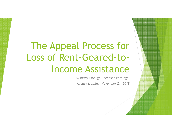# The Appeal Process for Loss of Rent-Geared-toIncome Assistance

 By Betsy Esbaugh, Licensed Paralegal*Agency training, November 21, 2018*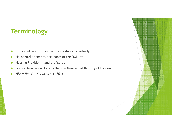# **Terminology**

- $\blacktriangleright$ RGI = rent-geared-to-income (assistance or subsidy)
- $\blacktriangleright$ Household = tenants/occupants of the RGI unit
- $\blacktriangleright$ Housing Provider = landlord/co-op
- $\blacktriangleright$ Service Manager = Housing Division Manager of the City of London
- $\blacktriangleright$ HSA = *Housing Services Act, 2011*

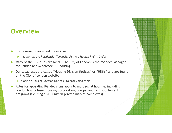### **Overview**

#### $\blacktriangleright$ RGI housing is governed under *HSA*

- (as well as the *Residential Tenancies Act* and *Human Rights Code*)
- Many of the RGI rules are <u>local</u> The City of London is the "Service Manager" for London and Middlesex RGI housing
- $\blacktriangleright$  Our local rules are called "Housing Division Notices" or "HDNs" and are found on the City of London website
	- Google "Housing Division Notices" to easily find them
- $\blacktriangleright$  Rules for appealing RGI decisions apply to most social housing, including London & Middlesex Housing Corporation, co-ops, and rent supplement programs (i.e. single RGI units in private market complexes)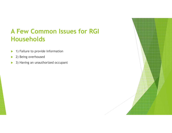# **A Few Common Issues for RGI Households**

- $\blacktriangleright$ 1) Failure to provide information
- $\blacktriangleright$ 2) Being overhoused
- $\blacktriangleright$ 3) Having an unauthorized occupant

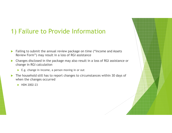# 1) Failure to Provide Information

- $\blacktriangleright$  Failing to submit the annual review package on time ("Income and Assets Review Form") may result in a loss of RGI assistance
- $\blacktriangleright$  Changes disclosed in the package may also result in a loss of RGI assistance or change in RGI calculation
	- ▶ E.g. change in income, a person moving in or out
- $\blacktriangleright$  The household still has to report changes to circumstances within 30 days of when the changes occurred
	- $\blacktriangleright$  HDN 2002-23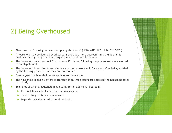# 2) Being Overhoused

- $\blacktriangleright$ Also known as "ceasing to meet occupancy standards" (HDNs 2012-177 & HDN 2012-178)
- $\blacktriangleright$  A household may be deemed overhoused if there are more bedrooms in the unit than it qualifies for, e.g. single person living in a multi-bedroom townhouse
- ▶ The household only loses its RGI assistance if it is not following the process to be transferred to an eligible unit
- ь • The household is entitled to remain living in their current unit for a <u>year</u> after being notified by the housing provider that they are overhoused
- ▶ After a year, the household must apply onto the waitlist
- $\blacktriangleright$  The household is given 3 offers to transfer, if all three offers are rejected the household loses its subsidy
- ь Examples of when a household may qualify for an additional bedroom:
	- ▶ For disability/medically necessary accommodations
	- $\blacktriangleright$ Joint custody/visitation requirements
	- $\blacktriangleright$ Dependent child at an educational institution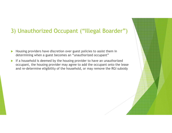#### 3) Unauthorized Occupant ("Illegal Boarder")

- $\blacktriangleright$  Housing providers have discretion over guest policies to assist them in determining when a guest becomes an "unauthorized occupant"
- If a household is deemed by the housing provider to have an unauthorized occupant, the housing provider may agree to add the occupant onto the lease and re-determine eligibility of the household, or may remove the RGI subsidy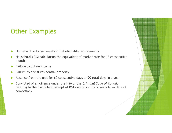# Other Examples

- $\blacktriangleright$ Household no longer meets initial eligibility requirements
- $\blacktriangleright$  Household's RGI calculation the equivalent of market rate for 12 consecutive months
- $\blacktriangleright$ Failure to obtain income
- $\blacktriangleright$ Failure to divest residential property
- $\blacktriangleright$ Absence from the unit for 60 consecutive days or 90 total days in a year
- $\blacktriangleright$  Convicted of an offence under the HSA or the *Criminal Code of Canada*  relating to the fraudulent receipt of RGI assistance (for 2 years from date of conviction)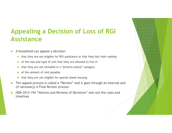# **Appealing a Decision of Loss of RGI Assistance**

- $\blacktriangleright$  A household can appeal a decision:
	- that they are not eligible for RGI assistance or that they lost their subsidy
	- of the size and type of unit that they are allowed to live in
	- $\blacktriangleright$ that they are not included in a "priority status" category
	- $\blacktriangleright$ of the amount of rent payable
	- $\blacktriangleright$ that they are not eligible for special needs housin g
- $\blacktriangleright$  The appeal process is called a "Review" and it goes through an Internal and (if necessary) a Final Review process
- $\blacktriangleright$  HDN 2013-194 "Notices and Reviews of Decisions" sets out the rules and timelines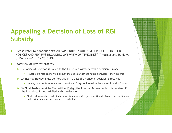# **Appealing a Decision of Loss of RGI Subsidy**

- $\blacktriangleright$  Please refer to handout entitled "APPENDIX 1: QUICK REFERENCE CHART FOR NOTICES AND REVIEWS INCLUDING OVERVIEW OF TIMELINES" ("Notices and Reviews of Decisions", HDN 2013-194)
- $\blacktriangleright$  Overview of Review process:
	- $\blacktriangleright$  1) **Notice of Decision** is issued to the household within 5 days a decision is made
		- $\blacktriangleright$  Household is required to "talk about" the decision with the housing provider if they disagree
	- 2) **Internal Review** must be filed within 10 days the Notice of Decision is received
		- Housing provider is to issue a decision within 10 days and issued to the household within 5 days
	- 3) **Final Review** must be filed within 10 days the Internal Review decision is received if the household is not satisfied with the decision
		- Final review may be conducted as a written review (i.e. just a written decision is provided) or an  $\sim$ oral review (an in-person hearing is conducted)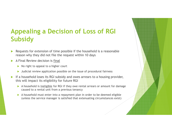# **Appealing a Decision of Loss of RGI Subsidy**

- $\blacktriangleright$  Requests for extension of time possible if the household is a reasonable reason why they did not file the request within 10 days
- $\blacktriangleright$  A Final Review decision is final
	- ▶ No right to appeal to a higher court
	- $\blacktriangleright$ Judicial review application possible on the issue of procedural fairness
- $\blacktriangleright$  If a household loses its RGI subsidy and owes arrears to a housing provider, this will impact its eligibility for future RGI
	- A household is <u>ineligible</u> for RGI if they owe rental arrears or amount for damage caused to a rental unit from a previous tenancy
	- A household must enter into a repayment plan in order to be deemed eligible  $(\omega)$  and  $(\omega)$ (unless the service manager is satisfied that extenuating circumstances exist)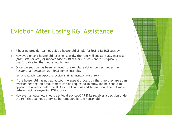# Eviction After Losing RGI Assistance

- $\blacktriangleright$ A housing provider cannot evict a household simply for losing its RGI subsidy
- $\blacktriangleright$  However, once a household loses its subsidy, the rent will substantially increase (*from 30% (or less) of market rate to 100% market rate*) and it is typically unaffordable for that household to pay
- Once the subsidy has been removed, the regular eviction process under the Decidential Tenancies Act. 2006 comes into play. *Residential Tenancies Act, 2006* comes into play
	- A household can expect to receive an N4 for nonpayment of rent
- If the household has not exhausted the appeal process by the time they are at an  $\alpha$  is the household to eviction hearing, an adjournment can be requested to allow the household to appeal the arrears under the HSA as the Landlord and Tenant Board do not make determinations regarding RGI subsidy
- $\blacktriangleright$  However, a household should get legal advice ASAP if its receives a decision under the HSA that cannot otherwise be remedied by the household